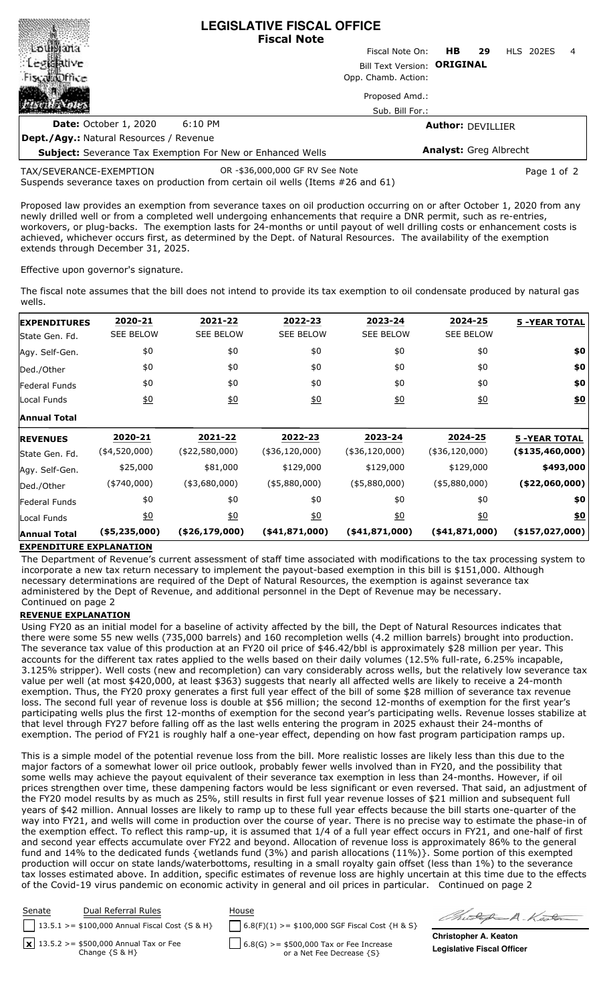|                                                                                                             | <b>LEGISLATIVE FISCAL OFFICE</b><br><b>Fiscal Note</b> |                               |                  |   |
|-------------------------------------------------------------------------------------------------------------|--------------------------------------------------------|-------------------------------|------------------|---|
| touriana                                                                                                    | Fiscal Note On:                                        | HB.<br>29                     | <b>HLS 202ES</b> | 4 |
| : Legislative                                                                                               | Bill Text Version: ORIGINAL                            |                               |                  |   |
| <b>Fiscallatiffice</b>                                                                                      | Opp. Chamb. Action:                                    |                               |                  |   |
|                                                                                                             | Proposed Amd.:                                         |                               |                  |   |
|                                                                                                             | Sub. Bill For.:                                        |                               |                  |   |
| 6:10 PM<br><b>Date:</b> October 1, 2020                                                                     |                                                        | <b>Author: DEVILLIER</b>      |                  |   |
| <b>Dept./Agy.: Natural Resources / Revenue</b>                                                              |                                                        |                               |                  |   |
| <b>Subject:</b> Severance Tax Exemption For New or Enhanced Wells                                           |                                                        | <b>Analyst: Greg Albrecht</b> |                  |   |
| TAX/SEVERANCE-EXEMPTION<br>Suspends severance taxes on production from certain oil wells (Items #26 and 61) | OR -\$36,000,000 GF RV See Note                        |                               | Page 1 of 2      |   |

Proposed law provides an exemption from severance taxes on oil production occurring on or after October 1, 2020 from any newly drilled well or from a completed well undergoing enhancements that require a DNR permit, such as re-entries, workovers, or plug-backs. The exemption lasts for 24-months or until payout of well drilling costs or enhancement costs is achieved, whichever occurs first, as determined by the Dept. of Natural Resources. The availability of the exemption extends through December 31, 2025.

Effective upon governor's signature.

**MERSAMANAN MARKA ARASIA** 

The fiscal note assumes that the bill does not intend to provide its tax exemption to oil condensate produced by natural gas wells.

| <b>EXPENDITURES</b>  | 2020-21          | 2021-22          | 2022-23          | 2023-24          | 2024-25          | <b>5 -YEAR TOTAL</b>   |
|----------------------|------------------|------------------|------------------|------------------|------------------|------------------------|
| State Gen. Fd.       | <b>SEE BELOW</b> | <b>SEE BELOW</b> | <b>SEE BELOW</b> | <b>SEE BELOW</b> | <b>SEE BELOW</b> |                        |
| Agy. Self-Gen.       | \$0              | \$0              | \$0              | \$0              | \$0              | \$0                    |
| Ded./Other           | \$0              | \$0              | \$0              | \$0              | \$0              | \$0                    |
| <b>Federal Funds</b> | \$0              | \$0              | \$0              | \$0              | \$0              | \$0                    |
| Local Funds          | $\underline{50}$ | 60               | 60               | 60               | $\underline{40}$ | <u>\$0</u>             |
| <b>Annual Total</b>  |                  |                  |                  |                  |                  |                        |
| <b>REVENUES</b>      | 2020-21          | 2021-22          | 2022-23          | 2023-24          | 2024-25          | <b>5 -YEAR TOTAL</b>   |
| State Gen. Fd.       | $(*4,520,000)$   | $(*22,580,000)$  | $(*36,120,000)$  | $(*36,120,000)$  | $(*36,120,000)$  | (\$135,460,000)        |
| Agy. Self-Gen.       | \$25,000         | \$81,000         | \$129,000        | \$129,000        | \$129,000        | \$493,000              |
| Ded./Other           | $(*740,000)$     | $(*3,680,000)$   | ( \$5,880,000)   | $($ \$5,880,000) | $($ \$5,880,000) | ( \$22,060,000]        |
| Federal Funds        | \$0              | \$0              | \$0              | \$0              | \$0              | \$0                    |
| Local Funds          | $\underline{50}$ | 60               | $\underline{50}$ | <u>\$0</u>       | 60               | <u>\$0</u>             |
| <b>Annual Total</b>  | (\$5,235,000)    | $(*26,179,000)$  | $(*41,871,000)$  | $(*41,871,000)$  | $(*41,871,000)$  | $($ \$157,027,000) $ $ |

## **EXPENDITURE EXPLANATION**

The Department of Revenue's current assessment of staff time associated with modifications to the tax processing system to incorporate a new tax return necessary to implement the payout-based exemption in this bill is \$151,000. Although necessary determinations are required of the Dept of Natural Resources, the exemption is against severance tax administered by the Dept of Revenue, and additional personnel in the Dept of Revenue may be necessary. Continued on page 2

## **REVENUE EXPLANATION**

Using FY20 as an initial model for a baseline of activity affected by the bill, the Dept of Natural Resources indicates that there were some 55 new wells (735,000 barrels) and 160 recompletion wells (4.2 million barrels) brought into production. The severance tax value of this production at an FY20 oil price of \$46.42/bbl is approximately \$28 million per year. This accounts for the different tax rates applied to the wells based on their daily volumes (12.5% full-rate, 6.25% incapable, 3.125% stripper). Well costs (new and recompletion) can vary considerably across wells, but the relatively low severance tax value per well (at most \$420,000, at least \$363) suggests that nearly all affected wells are likely to receive a 24-month exemption. Thus, the FY20 proxy generates a first full year effect of the bill of some \$28 million of severance tax revenue loss. The second full year of revenue loss is double at \$56 million; the second 12-months of exemption for the first year's participating wells plus the first 12-months of exemption for the second year's participating wells. Revenue losses stabilize at that level through FY27 before falling off as the last wells entering the program in 2025 exhaust their 24-months of exemption. The period of FY21 is roughly half a one-year effect, depending on how fast program participation ramps up.

This is a simple model of the potential revenue loss from the bill. More realistic losses are likely less than this due to the major factors of a somewhat lower oil price outlook, probably fewer wells involved than in FY20, and the possibility that some wells may achieve the payout equivalent of their severance tax exemption in less than 24-months. However, if oil prices strengthen over time, these dampening factors would be less significant or even reversed. That said, an adjustment of the FY20 model results by as much as 25%, still results in first full year revenue losses of \$21 million and subsequent full years of \$42 million. Annual losses are likely to ramp up to these full year effects because the bill starts one-quarter of the way into FY21, and wells will come in production over the course of year. There is no precise way to estimate the phase-in of the exemption effect. To reflect this ramp-up, it is assumed that 1/4 of a full year effect occurs in FY21, and one-half of first and second year effects accumulate over FY22 and beyond. Allocation of revenue loss is approximately 86% to the general fund and 14% to the dedicated funds {wetlands fund (3%) and parish allocations (11%)}. Some portion of this exempted production will occur on state lands/waterbottoms, resulting in a small royalty gain offset (less than 1%) to the severance tax losses estimated above. In addition, specific estimates of revenue loss are highly uncertain at this time due to the effects of the Covid-19 virus pandemic on economic activity in general and oil prices in particular. Continued on page 2

| Senate | Dual Referral Rules<br>    13.5.1 > = \$100,000 Annual Fiscal Cost $\{S \& H\}$ | House<br>$\bigcap$ 6.8(F)(1) >= \$100,000 SGF Fiscal Cost {H & S} | Chickey                |
|--------|---------------------------------------------------------------------------------|-------------------------------------------------------------------|------------------------|
|        | $\sqrt{x}$ 13.5.2 >= \$500,000 Annual Tax or Fee                                | $\begin{bmatrix} 6.8(G) >= $500,000$ Tax or Fee Increase          | <b>Christopher A</b>   |
|        | Change $\{S \& H\}$                                                             | or a Net Fee Decrease {S}                                         | <b>Legislative Fis</b> |

A.Keolom

. Keaton **Legislative Excal Officer**